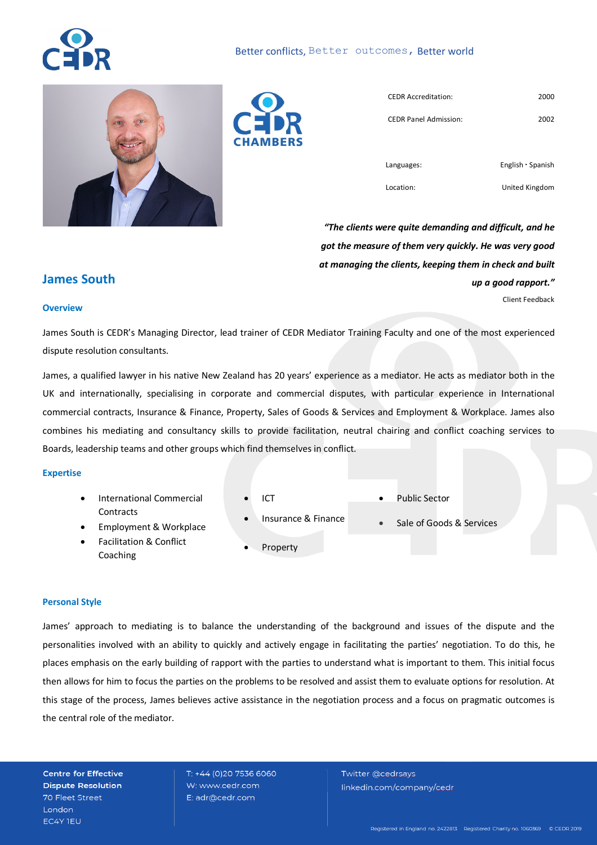# Better conflicts, Better outcomes, Better world





| <b>CHAMBERS</b> |  |
|-----------------|--|

| <b>CEDR Accreditation:</b>   | 2000                    |
|------------------------------|-------------------------|
| <b>CEDR Panel Admission:</b> | 2002                    |
|                              |                         |
| Languages:                   | English $\cdot$ Spanish |

Location:

United Kingdom

*"The clients were quite demanding and difficult, and he got the measure of them very quickly. He was very good at managing the clients, keeping them in check and built up a good rapport."*  Client Feedback

# **James South**

#### **Overview**

James South is CEDR's Managing Director, lead trainer of CEDR Mediator Training Faculty and one of the most experienced dispute resolution consultants.

James, a qualified lawyer in his native New Zealand has 20 years' experience as a mediator. He acts as mediator both in the UK and internationally, specialising in corporate and commercial disputes, with particular experience in International commercial contracts, Insurance & Finance, Property, Sales of Goods & Services and Employment & Workplace. James also combines his mediating and consultancy skills to provide facilitation, neutral chairing and conflict coaching services to Boards, leadership teams and other groups which find themselves in conflict.

#### **Expertise**

- International Commercial **Contracts**
- ICT
- Insurance & Finance
- Public Sector
- Sale of Goods & Services
- Employment & Workplace
- Facilitation & Conflict Coaching
- **Property**

#### **Personal Style**

James' approach to mediating is to balance the understanding of the background and issues of the dispute and the personalities involved with an ability to quickly and actively engage in facilitating the parties' negotiation. To do this, he places emphasis on the early building of rapport with the parties to understand what is important to them. This initial focus then allows for him to focus the parties on the problems to be resolved and assist them to evaluate options for resolution. At this stage of the process, James believes active assistance in the negotiation process and a focus on pragmatic outcomes is the central role of the mediator.

**Centre for Effective Dispute Resolution** 70 Fleet Street **London** EC4Y TEU

T: +44 (0)20 7536 6060 W: www.cedr.com E: adr@cedr.com

Twitter @cedrsays linkedin.com/company/cedr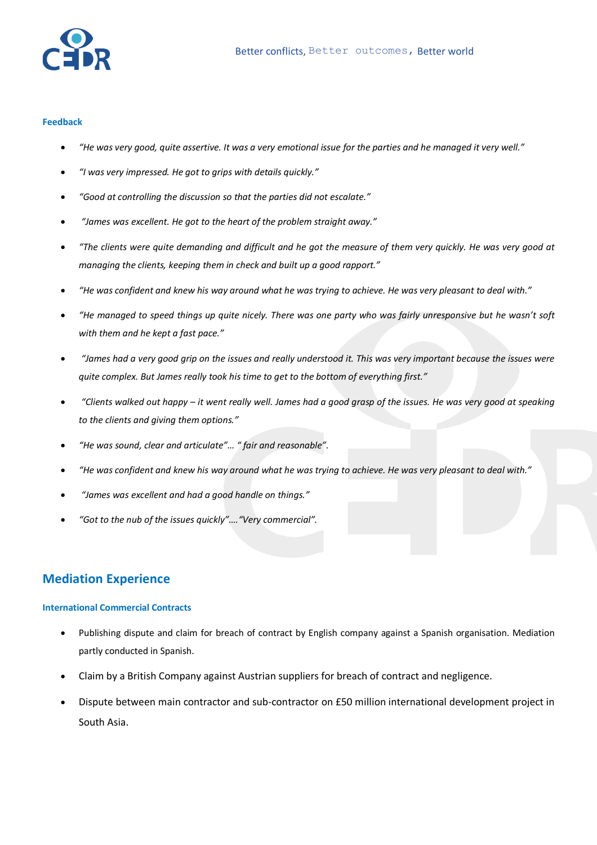

#### **Feedback**

- *"He was very good, quite assertive. It was a very emotional issue for the parties and he managed it very well."*
- *"I was very impressed. He got to grips with details quickly."*
- *"Good at controlling the discussion so that the parties did not escalate."*
- *"James was excellent. He got to the heart of the problem straight away."*
- *"The clients were quite demanding and difficult and he got the measure of them very quickly. He was very good at managing the clients, keeping them in check and built up a good rapport."*
- *"He was confident and knew his way around what he was trying to achieve. He was very pleasant to deal with."*
- *"He managed to speed things up quite nicely. There was one party who was fairly unresponsive but he wasn't soft with them and he kept a fast pace."*
- *"James had a very good grip on the issues and really understood it. This was very important because the issues were quite complex. But James really took his time to get to the bottom of everything first."*
- *"Clients walked out happy – it went really well. James had a good grasp of the issues. He was very good at speaking to the clients and giving them options."*
- *"He was sound, clear and articulate"… " fair and reasonable".*
- *"He was confident and knew his way around what he was trying to achieve. He was very pleasant to deal with."*
- *"James was excellent and had a good handle on things."*
- *"Got to the nub of the issues quickly"…."Very commercial".*

# **Mediation Experience**

#### **International Commercial Contracts**

- Publishing dispute and claim for breach of contract by English company against a Spanish organisation. Mediation partly conducted in Spanish.
- Claim by a British Company against Austrian suppliers for breach of contract and negligence.
- Dispute between main contractor and sub-contractor on £50 million international development project in South Asia.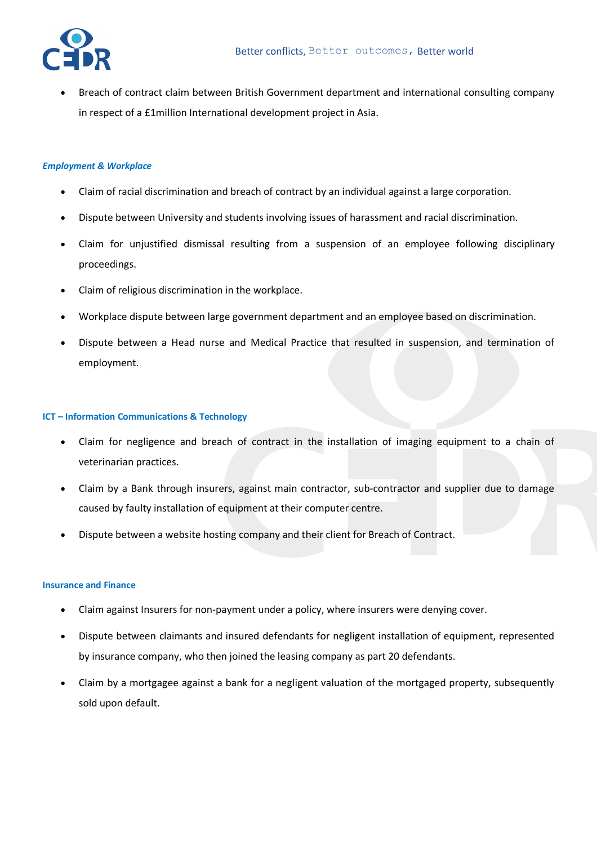• Breach of contract claim between British Government department and international consulting company in respect of a £1million International development project in Asia.

#### *Employment & Workplace*

- Claim of racial discrimination and breach of contract by an individual against a large corporation.
- Dispute between University and students involving issues of harassment and racial discrimination.
- Claim for unjustified dismissal resulting from a suspension of an employee following disciplinary proceedings.
- Claim of religious discrimination in the workplace.
- Workplace dispute between large government department and an employee based on discrimination.
- Dispute between a Head nurse and Medical Practice that resulted in suspension, and termination of employment.

#### **ICT – Information Communications & Technology**

- Claim for negligence and breach of contract in the installation of imaging equipment to a chain of veterinarian practices.
- Claim by a Bank through insurers, against main contractor, sub-contractor and supplier due to damage caused by faulty installation of equipment at their computer centre.
- Dispute between a website hosting company and their client for Breach of Contract.

#### **Insurance and Finance**

- Claim against Insurers for non-payment under a policy, where insurers were denying cover.
- Dispute between claimants and insured defendants for negligent installation of equipment, represented by insurance company, who then joined the leasing company as part 20 defendants.
- Claim by a mortgagee against a bank for a negligent valuation of the mortgaged property, subsequently sold upon default.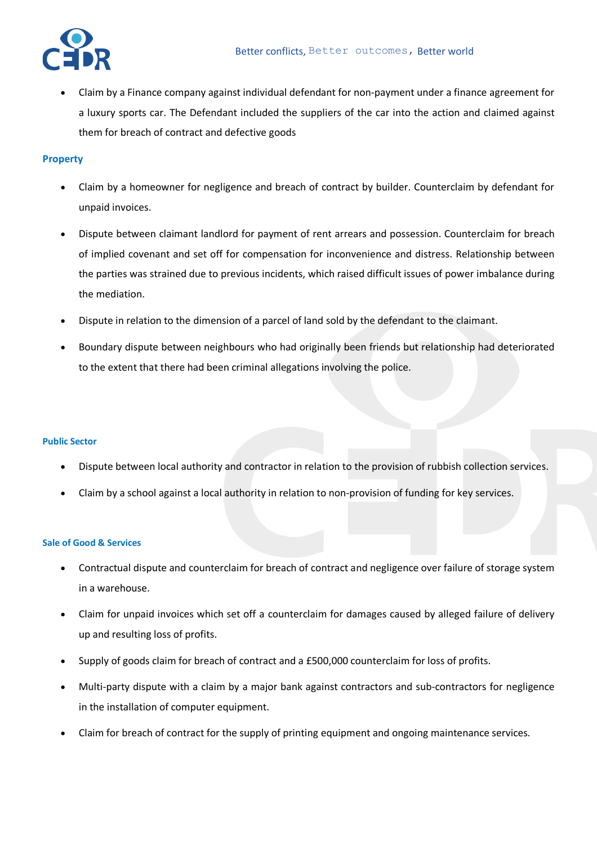

• Claim by a Finance company against individual defendant for non-payment under a finance agreement for a luxury sports car. The Defendant included the suppliers of the car into the action and claimed against them for breach of contract and defective goods

# **Property**

- Claim by a homeowner for negligence and breach of contract by builder. Counterclaim by defendant for unpaid invoices.
- Dispute between claimant landlord for payment of rent arrears and possession. Counterclaim for breach of implied covenant and set off for compensation for inconvenience and distress. Relationship between the parties was strained due to previous incidents, which raised difficult issues of power imbalance during the mediation.
- Dispute in relation to the dimension of a parcel of land sold by the defendant to the claimant.
- Boundary dispute between neighbours who had originally been friends but relationship had deteriorated to the extent that there had been criminal allegations involving the police.

## **Public Sector**

- Dispute between local authority and contractor in relation to the provision of rubbish collection services.
- Claim by a school against a local authority in relation to non-provision of funding for key services.

## **Sale of Good & Services**

- Contractual dispute and counterclaim for breach of contract and negligence over failure of storage system in a warehouse.
- Claim for unpaid invoices which set off a counterclaim for damages caused by alleged failure of delivery up and resulting loss of profits.
- Supply of goods claim for breach of contract and a £500,000 counterclaim for loss of profits.
- Multi-party dispute with a claim by a major bank against contractors and sub-contractors for negligence in the installation of computer equipment.
- Claim for breach of contract for the supply of printing equipment and ongoing maintenance services.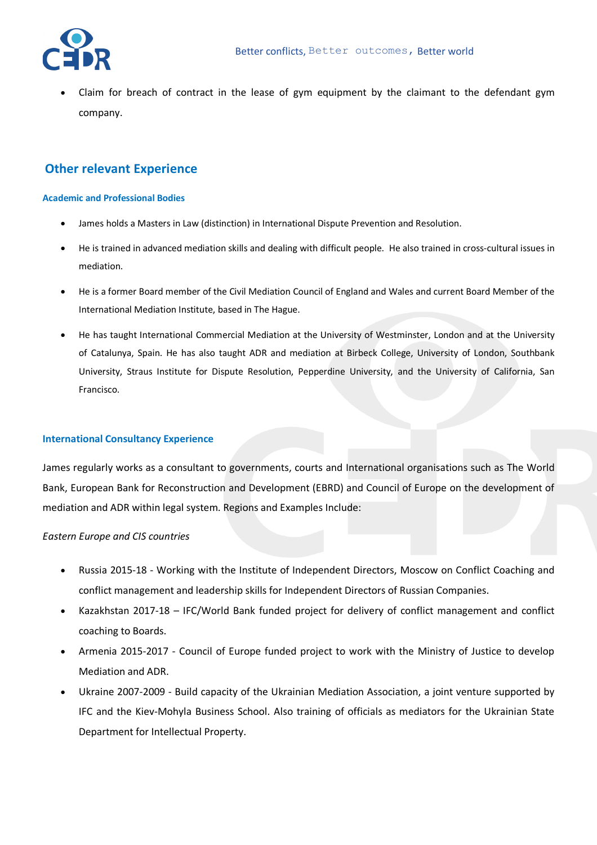• Claim for breach of contract in the lease of gym equipment by the claimant to the defendant gym company.

# **Other relevant Experience**

#### **Academic and Professional Bodies**

- James holds a Masters in Law (distinction) in International Dispute Prevention and Resolution.
- He is trained in advanced mediation skills and dealing with difficult people. He also trained in cross-cultural issues in mediation.
- He is a former Board member of the Civil Mediation Council of England and Wales and current Board Member of the International Mediation Institute, based in The Hague.
- He has taught International Commercial Mediation at the University of Westminster, London and at the University of Catalunya, Spain. He has also taught ADR and mediation at Birbeck College, University of London, Southbank University, Straus Institute for Dispute Resolution, Pepperdine University, and the University of California, San Francisco.

## **International Consultancy Experience**

James regularly works as a consultant to governments, courts and International organisations such as The World Bank, European Bank for Reconstruction and Development (EBRD) and Council of Europe on the development of mediation and ADR within legal system. Regions and Examples Include:

## *Eastern Europe and CIS countries*

- Russia 2015-18 Working with the Institute of Independent Directors, Moscow on Conflict Coaching and conflict management and leadership skills for Independent Directors of Russian Companies.
- Kazakhstan 2017-18 IFC/World Bank funded project for delivery of conflict management and conflict coaching to Boards.
- Armenia 2015-2017 Council of Europe funded project to work with the Ministry of Justice to develop Mediation and ADR.
- Ukraine 2007-2009 Build capacity of the Ukrainian Mediation Association, a joint venture supported by IFC and the Kiev-Mohyla Business School. Also training of officials as mediators for the Ukrainian State Department for Intellectual Property.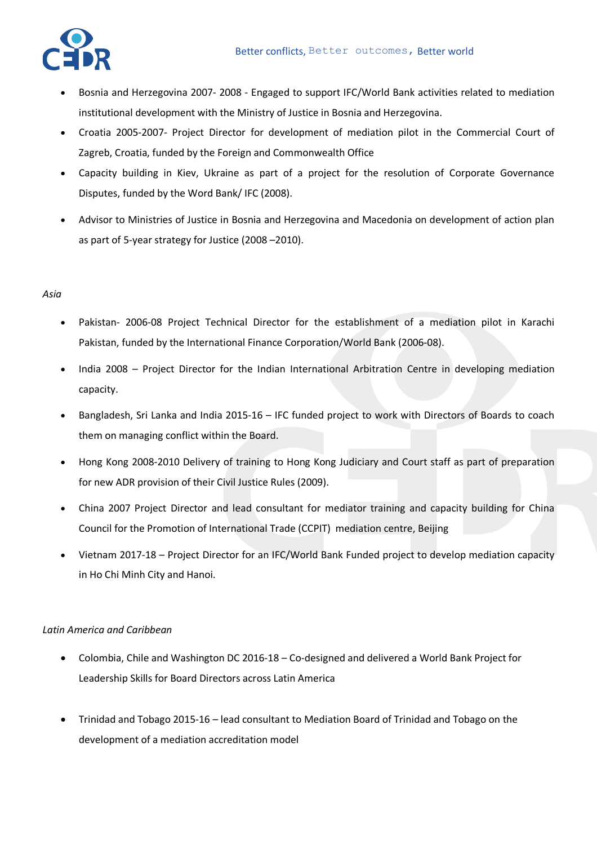

- Bosnia and Herzegovina 2007- 2008 Engaged to support IFC/World Bank activities related to mediation institutional development with the Ministry of Justice in Bosnia and Herzegovina.
- Croatia 2005-2007- Project Director for development of mediation pilot in the Commercial Court of Zagreb, Croatia, funded by the Foreign and Commonwealth Office
- Capacity building in Kiev, Ukraine as part of a project for the resolution of Corporate Governance Disputes, funded by the Word Bank/ IFC (2008).
- Advisor to Ministries of Justice in Bosnia and Herzegovina and Macedonia on development of action plan as part of 5-year strategy for Justice (2008 –2010).

# *Asia*

- Pakistan- 2006-08 Project Technical Director for the establishment of a mediation pilot in Karachi Pakistan, funded by the International Finance Corporation/World Bank (2006-08).
- India 2008 Project Director for the Indian International Arbitration Centre in developing mediation capacity.
- Bangladesh, Sri Lanka and India 2015-16 IFC funded project to work with Directors of Boards to coach them on managing conflict within the Board.
- Hong Kong 2008-2010 Delivery of training to Hong Kong Judiciary and Court staff as part of preparation for new ADR provision of their Civil Justice Rules (2009).
- China 2007 Project Director and lead consultant for mediator training and capacity building for China Council for the Promotion of International Trade (CCPIT) mediation centre, Beijing
- Vietnam 2017-18 Project Director for an IFC/World Bank Funded project to develop mediation capacity in Ho Chi Minh City and Hanoi.

# *Latin America and Caribbean*

- Colombia, Chile and Washington DC 2016-18 Co-designed and delivered a World Bank Project for Leadership Skills for Board Directors across Latin America
- Trinidad and Tobago 2015-16 lead consultant to Mediation Board of Trinidad and Tobago on the development of a mediation accreditation model